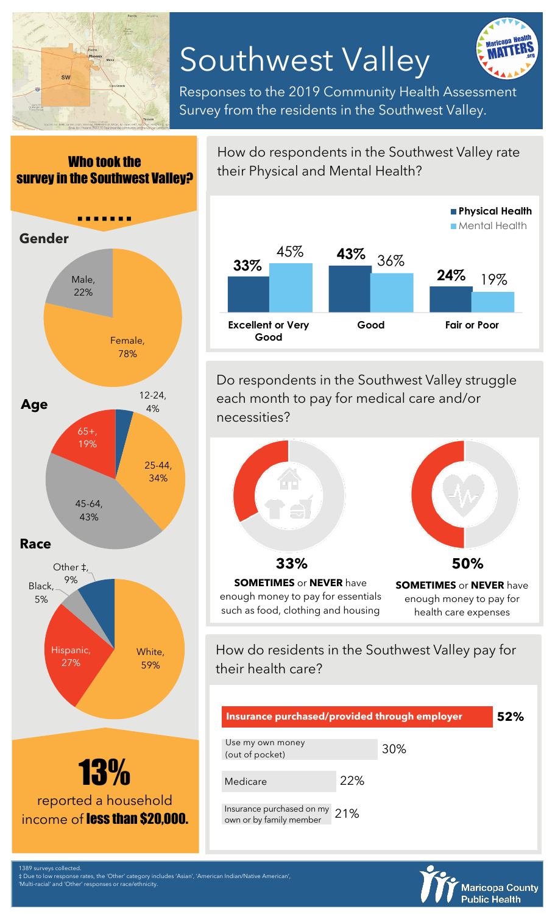

## Southwest Valley



Responses to the 2019 Community Health Assessment Survey from the residents in the Southwest Valley.



How do respondents in the Southwest Valley rate their Physical and Mental Health?



Do respondents in the Southwest Valley struggle each month to pay for medical care and/or necessities?



their health care?

| Insurance purchased/provided through employer        |     |     | 52% |
|------------------------------------------------------|-----|-----|-----|
| Use my own money<br>(out of pocket)                  |     | 30% |     |
| Medicare                                             | 22% |     |     |
| Insurance purchased on my<br>own or by family member | 21% |     |     |